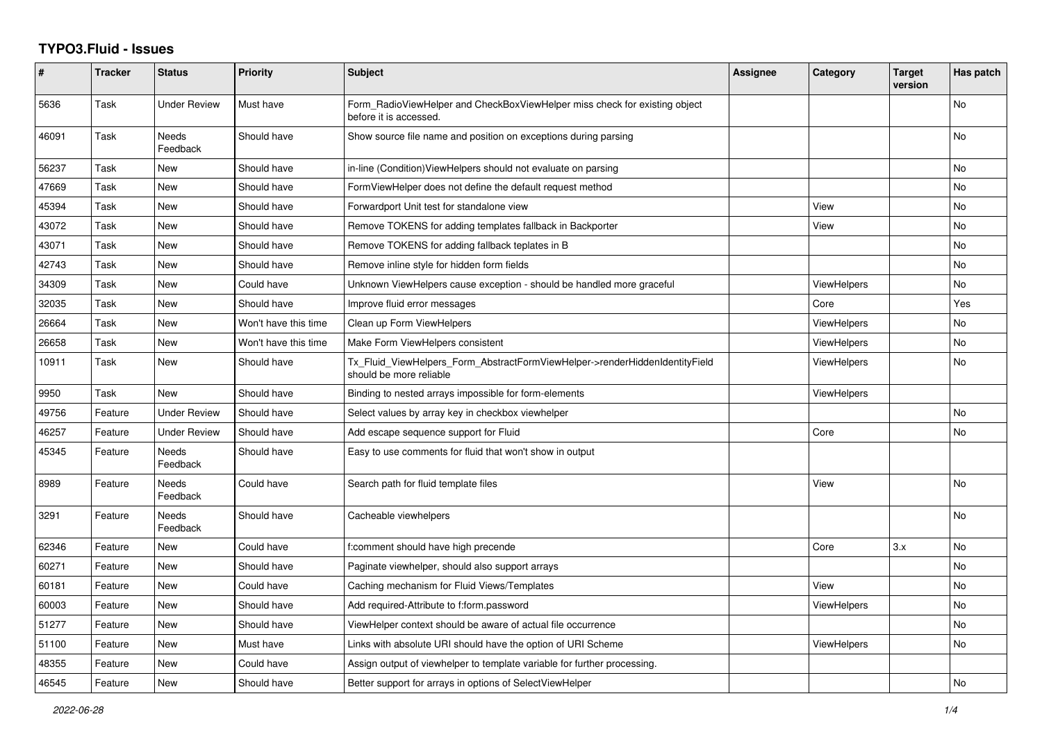## **TYPO3.Fluid - Issues**

| #     | <b>Tracker</b> | <b>Status</b>       | <b>Priority</b>      | Subject                                                                                                | <b>Assignee</b> | Category           | <b>Target</b><br>version | Has patch |
|-------|----------------|---------------------|----------------------|--------------------------------------------------------------------------------------------------------|-----------------|--------------------|--------------------------|-----------|
| 5636  | Task           | <b>Under Review</b> | Must have            | Form RadioViewHelper and CheckBoxViewHelper miss check for existing object<br>before it is accessed.   |                 |                    |                          | <b>No</b> |
| 46091 | Task           | Needs<br>Feedback   | Should have          | Show source file name and position on exceptions during parsing                                        |                 |                    |                          | No        |
| 56237 | Task           | New                 | Should have          | in-line (Condition) View Helpers should not evaluate on parsing                                        |                 |                    |                          | <b>No</b> |
| 47669 | Task           | <b>New</b>          | Should have          | FormViewHelper does not define the default request method                                              |                 |                    |                          | <b>No</b> |
| 45394 | Task           | New                 | Should have          | Forwardport Unit test for standalone view                                                              |                 | View               |                          | No        |
| 43072 | Task           | New                 | Should have          | Remove TOKENS for adding templates fallback in Backporter                                              |                 | View               |                          | No        |
| 43071 | Task           | New                 | Should have          | Remove TOKENS for adding fallback teplates in B                                                        |                 |                    |                          | No        |
| 42743 | Task           | New                 | Should have          | Remove inline style for hidden form fields                                                             |                 |                    |                          | No        |
| 34309 | Task           | <b>New</b>          | Could have           | Unknown ViewHelpers cause exception - should be handled more graceful                                  |                 | <b>ViewHelpers</b> |                          | <b>No</b> |
| 32035 | Task           | New                 | Should have          | Improve fluid error messages                                                                           |                 | Core               |                          | Yes       |
| 26664 | Task           | New                 | Won't have this time | Clean up Form ViewHelpers                                                                              |                 | <b>ViewHelpers</b> |                          | No        |
| 26658 | Task           | <b>New</b>          | Won't have this time | Make Form ViewHelpers consistent                                                                       |                 | ViewHelpers        |                          | No        |
| 10911 | Task           | <b>New</b>          | Should have          | Tx_Fluid_ViewHelpers_Form_AbstractFormViewHelper->renderHiddenIdentityField<br>should be more reliable |                 | ViewHelpers        |                          | <b>No</b> |
| 9950  | Task           | <b>New</b>          | Should have          | Binding to nested arrays impossible for form-elements                                                  |                 | <b>ViewHelpers</b> |                          |           |
| 49756 | Feature        | <b>Under Review</b> | Should have          | Select values by array key in checkbox viewhelper                                                      |                 |                    |                          | No        |
| 46257 | Feature        | <b>Under Review</b> | Should have          | Add escape sequence support for Fluid                                                                  |                 | Core               |                          | <b>No</b> |
| 45345 | Feature        | Needs<br>Feedback   | Should have          | Easy to use comments for fluid that won't show in output                                               |                 |                    |                          |           |
| 8989  | Feature        | Needs<br>Feedback   | Could have           | Search path for fluid template files                                                                   |                 | View               |                          | <b>No</b> |
| 3291  | Feature        | Needs<br>Feedback   | Should have          | Cacheable viewhelpers                                                                                  |                 |                    |                          | No        |
| 62346 | Feature        | <b>New</b>          | Could have           | f:comment should have high precende                                                                    |                 | Core               | 3.x                      | <b>No</b> |
| 60271 | Feature        | <b>New</b>          | Should have          | Paginate viewhelper, should also support arrays                                                        |                 |                    |                          | <b>No</b> |
| 60181 | Feature        | New                 | Could have           | Caching mechanism for Fluid Views/Templates                                                            |                 | View               |                          | No        |
| 60003 | Feature        | <b>New</b>          | Should have          | Add required-Attribute to f:form.password                                                              |                 | ViewHelpers        |                          | <b>No</b> |
| 51277 | Feature        | New                 | Should have          | ViewHelper context should be aware of actual file occurrence                                           |                 |                    |                          | No        |
| 51100 | Feature        | New                 | Must have            | Links with absolute URI should have the option of URI Scheme                                           |                 | <b>ViewHelpers</b> |                          | No        |
| 48355 | Feature        | New                 | Could have           | Assign output of viewhelper to template variable for further processing.                               |                 |                    |                          |           |
| 46545 | Feature        | <b>New</b>          | Should have          | Better support for arrays in options of SelectViewHelper                                               |                 |                    |                          | No        |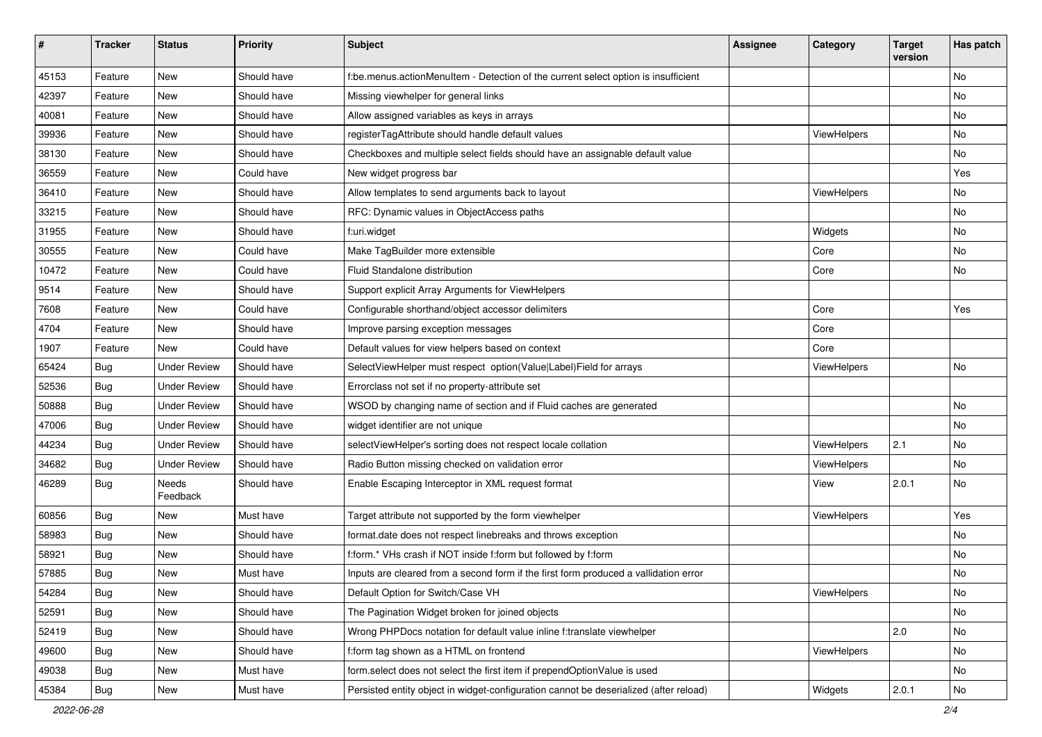| #     | <b>Tracker</b> | <b>Status</b>       | <b>Priority</b> | Subject                                                                               | <b>Assignee</b> | Category    | <b>Target</b><br>version | Has patch |
|-------|----------------|---------------------|-----------------|---------------------------------------------------------------------------------------|-----------------|-------------|--------------------------|-----------|
| 45153 | Feature        | New                 | Should have     | f:be.menus.actionMenuItem - Detection of the current select option is insufficient    |                 |             |                          | <b>No</b> |
| 42397 | Feature        | New                 | Should have     | Missing viewhelper for general links                                                  |                 |             |                          | No        |
| 40081 | Feature        | New                 | Should have     | Allow assigned variables as keys in arrays                                            |                 |             |                          | No        |
| 39936 | Feature        | New                 | Should have     | registerTagAttribute should handle default values                                     |                 | ViewHelpers |                          | No        |
| 38130 | Feature        | New                 | Should have     | Checkboxes and multiple select fields should have an assignable default value         |                 |             |                          | No        |
| 36559 | Feature        | New                 | Could have      | New widget progress bar                                                               |                 |             |                          | Yes       |
| 36410 | Feature        | New                 | Should have     | Allow templates to send arguments back to layout                                      |                 | ViewHelpers |                          | No        |
| 33215 | Feature        | New                 | Should have     | RFC: Dynamic values in ObjectAccess paths                                             |                 |             |                          | No        |
| 31955 | Feature        | New                 | Should have     | f:uri.widget                                                                          |                 | Widgets     |                          | No        |
| 30555 | Feature        | New                 | Could have      | Make TagBuilder more extensible                                                       |                 | Core        |                          | No        |
| 10472 | Feature        | New                 | Could have      | Fluid Standalone distribution                                                         |                 | Core        |                          | No        |
| 9514  | Feature        | New                 | Should have     | Support explicit Array Arguments for ViewHelpers                                      |                 |             |                          |           |
| 7608  | Feature        | New                 | Could have      | Configurable shorthand/object accessor delimiters                                     |                 | Core        |                          | Yes       |
| 4704  | Feature        | New                 | Should have     | Improve parsing exception messages                                                    |                 | Core        |                          |           |
| 1907  | Feature        | <b>New</b>          | Could have      | Default values for view helpers based on context                                      |                 | Core        |                          |           |
| 65424 | Bug            | <b>Under Review</b> | Should have     | SelectViewHelper must respect option(Value Label)Field for arrays                     |                 | ViewHelpers |                          | No        |
| 52536 | Bug            | <b>Under Review</b> | Should have     | Errorclass not set if no property-attribute set                                       |                 |             |                          |           |
| 50888 | Bug            | <b>Under Review</b> | Should have     | WSOD by changing name of section and if Fluid caches are generated                    |                 |             |                          | No        |
| 47006 | Bug            | <b>Under Review</b> | Should have     | widget identifier are not unique                                                      |                 |             |                          | No        |
| 44234 | Bug            | <b>Under Review</b> | Should have     | selectViewHelper's sorting does not respect locale collation                          |                 | ViewHelpers | 2.1                      | No        |
| 34682 | Bug            | <b>Under Review</b> | Should have     | Radio Button missing checked on validation error                                      |                 | ViewHelpers |                          | No        |
| 46289 | Bug            | Needs<br>Feedback   | Should have     | Enable Escaping Interceptor in XML request format                                     |                 | View        | 2.0.1                    | No        |
| 60856 | Bug            | New                 | Must have       | Target attribute not supported by the form viewhelper                                 |                 | ViewHelpers |                          | Yes       |
| 58983 | Bug            | New                 | Should have     | format.date does not respect linebreaks and throws exception                          |                 |             |                          | No        |
| 58921 | Bug            | New                 | Should have     | f:form.* VHs crash if NOT inside f:form but followed by f:form                        |                 |             |                          | No        |
| 57885 | Bug            | New                 | Must have       | Inputs are cleared from a second form if the first form produced a vallidation error  |                 |             |                          | No        |
| 54284 | Bug            | New                 | Should have     | Default Option for Switch/Case VH                                                     |                 | ViewHelpers |                          | No        |
| 52591 | Bug            | New                 | Should have     | The Pagination Widget broken for joined objects                                       |                 |             |                          | No        |
| 52419 | Bug            | New                 | Should have     | Wrong PHPDocs notation for default value inline f:translate viewhelper                |                 |             | 2.0                      | No        |
| 49600 | Bug            | New                 | Should have     | f:form tag shown as a HTML on frontend                                                |                 | ViewHelpers |                          | No        |
| 49038 | Bug            | New                 | Must have       | form.select does not select the first item if prependOptionValue is used              |                 |             |                          | No        |
| 45384 | Bug            | New                 | Must have       | Persisted entity object in widget-configuration cannot be deserialized (after reload) |                 | Widgets     | 2.0.1                    | No        |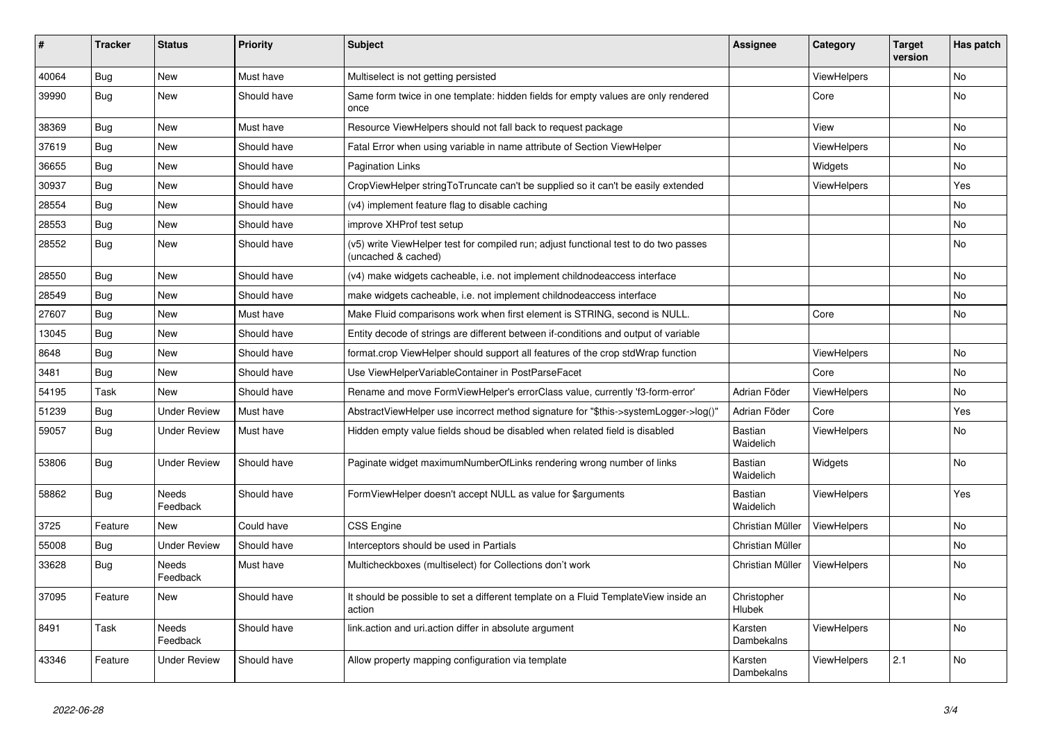| #     | <b>Tracker</b> | <b>Status</b>            | <b>Priority</b> | <b>Subject</b>                                                                                              | Assignee                    | Category           | <b>Target</b><br>version | Has patch |
|-------|----------------|--------------------------|-----------------|-------------------------------------------------------------------------------------------------------------|-----------------------------|--------------------|--------------------------|-----------|
| 40064 | Bug            | <b>New</b>               | Must have       | Multiselect is not getting persisted                                                                        |                             | ViewHelpers        |                          | No.       |
| 39990 | Bug            | New                      | Should have     | Same form twice in one template: hidden fields for empty values are only rendered<br>once                   |                             | Core               |                          | No        |
| 38369 | Bug            | <b>New</b>               | Must have       | Resource ViewHelpers should not fall back to request package                                                |                             | View               |                          | <b>No</b> |
| 37619 | Bug            | <b>New</b>               | Should have     | Fatal Error when using variable in name attribute of Section ViewHelper                                     |                             | ViewHelpers        |                          | No        |
| 36655 | Bug            | <b>New</b>               | Should have     | <b>Pagination Links</b>                                                                                     |                             | Widgets            |                          | No.       |
| 30937 | Bug            | <b>New</b>               | Should have     | CropViewHelper stringToTruncate can't be supplied so it can't be easily extended                            |                             | ViewHelpers        |                          | Yes       |
| 28554 | Bug            | <b>New</b>               | Should have     | (v4) implement feature flag to disable caching                                                              |                             |                    |                          | No        |
| 28553 | Bug            | <b>New</b>               | Should have     | improve XHProf test setup                                                                                   |                             |                    |                          | No        |
| 28552 | Bug            | New                      | Should have     | (v5) write ViewHelper test for compiled run; adjust functional test to do two passes<br>(uncached & cached) |                             |                    |                          | No        |
| 28550 | Bug            | <b>New</b>               | Should have     | (v4) make widgets cacheable, i.e. not implement childnodeaccess interface                                   |                             |                    |                          | No        |
| 28549 | Bug            | New                      | Should have     | make widgets cacheable, i.e. not implement childnodeaccess interface                                        |                             |                    |                          | No        |
| 27607 | Bug            | New                      | Must have       | Make Fluid comparisons work when first element is STRING, second is NULL.                                   |                             | Core               |                          | No        |
| 13045 | <b>Bug</b>     | New                      | Should have     | Entity decode of strings are different between if-conditions and output of variable                         |                             |                    |                          |           |
| 8648  | Bug            | <b>New</b>               | Should have     | format.crop ViewHelper should support all features of the crop stdWrap function                             |                             | <b>ViewHelpers</b> |                          | No        |
| 3481  | Bug            | New                      | Should have     | Use ViewHelperVariableContainer in PostParseFacet                                                           |                             | Core               |                          | No        |
| 54195 | Task           | <b>New</b>               | Should have     | Rename and move FormViewHelper's errorClass value, currently 'f3-form-error'                                | Adrian Föder                | ViewHelpers        |                          | No        |
| 51239 | <b>Bug</b>     | <b>Under Review</b>      | Must have       | AbstractViewHelper use incorrect method signature for "\$this->systemLogger->log()"                         | Adrian Föder                | Core               |                          | Yes       |
| 59057 | Bug            | <b>Under Review</b>      | Must have       | Hidden empty value fields shoud be disabled when related field is disabled                                  | <b>Bastian</b><br>Waidelich | <b>ViewHelpers</b> |                          | No        |
| 53806 | Bug            | <b>Under Review</b>      | Should have     | Paginate widget maximumNumberOfLinks rendering wrong number of links                                        | <b>Bastian</b><br>Waidelich | Widgets            |                          | No        |
| 58862 | Bug            | <b>Needs</b><br>Feedback | Should have     | FormViewHelper doesn't accept NULL as value for \$arguments                                                 | Bastian<br>Waidelich        | ViewHelpers        |                          | Yes       |
| 3725  | Feature        | <b>New</b>               | Could have      | <b>CSS Engine</b>                                                                                           | Christian Müller            | ViewHelpers        |                          | No        |
| 55008 | <b>Bug</b>     | <b>Under Review</b>      | Should have     | Interceptors should be used in Partials                                                                     | Christian Müller            |                    |                          | No        |
| 33628 | Bug            | Needs<br>Feedback        | Must have       | Multicheckboxes (multiselect) for Collections don't work                                                    | Christian Müller            | ViewHelpers        |                          | No        |
| 37095 | Feature        | New                      | Should have     | It should be possible to set a different template on a Fluid TemplateView inside an<br>action               | Christopher<br>Hlubek       |                    |                          | No        |
| 8491  | Task           | <b>Needs</b><br>Feedback | Should have     | link action and uri action differ in absolute argument                                                      | Karsten<br>Dambekalns       | ViewHelpers        |                          | No        |
| 43346 | Feature        | <b>Under Review</b>      | Should have     | Allow property mapping configuration via template                                                           | Karsten<br>Dambekalns       | ViewHelpers        | 2.1                      | No        |